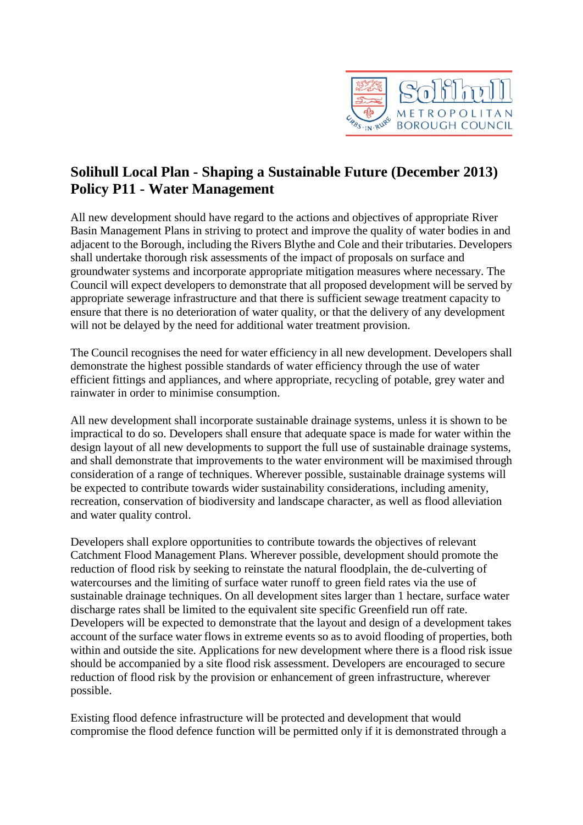

## **Solihull Local Plan - Shaping a Sustainable Future (December 2013) Policy P11 - Water Management**

All new development should have regard to the actions and objectives of appropriate River Basin Management Plans in striving to protect and improve the quality of water bodies in and adjacent to the Borough, including the Rivers Blythe and Cole and their tributaries. Developers shall undertake thorough risk assessments of the impact of proposals on surface and groundwater systems and incorporate appropriate mitigation measures where necessary. The Council will expect developers to demonstrate that all proposed development will be served by appropriate sewerage infrastructure and that there is sufficient sewage treatment capacity to ensure that there is no deterioration of water quality, or that the delivery of any development will not be delayed by the need for additional water treatment provision.

The Council recognises the need for water efficiency in all new development. Developers shall demonstrate the highest possible standards of water efficiency through the use of water efficient fittings and appliances, and where appropriate, recycling of potable, grey water and rainwater in order to minimise consumption.

All new development shall incorporate sustainable drainage systems, unless it is shown to be impractical to do so. Developers shall ensure that adequate space is made for water within the design layout of all new developments to support the full use of sustainable drainage systems, and shall demonstrate that improvements to the water environment will be maximised through consideration of a range of techniques. Wherever possible, sustainable drainage systems will be expected to contribute towards wider sustainability considerations, including amenity, recreation, conservation of biodiversity and landscape character, as well as flood alleviation and water quality control.

Developers shall explore opportunities to contribute towards the objectives of relevant Catchment Flood Management Plans. Wherever possible, development should promote the reduction of flood risk by seeking to reinstate the natural floodplain, the de-culverting of watercourses and the limiting of surface water runoff to green field rates via the use of sustainable drainage techniques. On all development sites larger than 1 hectare, surface water discharge rates shall be limited to the equivalent site specific Greenfield run off rate. Developers will be expected to demonstrate that the layout and design of a development takes account of the surface water flows in extreme events so as to avoid flooding of properties, both within and outside the site. Applications for new development where there is a flood risk issue should be accompanied by a site flood risk assessment. Developers are encouraged to secure reduction of flood risk by the provision or enhancement of green infrastructure, wherever possible.

Existing flood defence infrastructure will be protected and development that would compromise the flood defence function will be permitted only if it is demonstrated through a